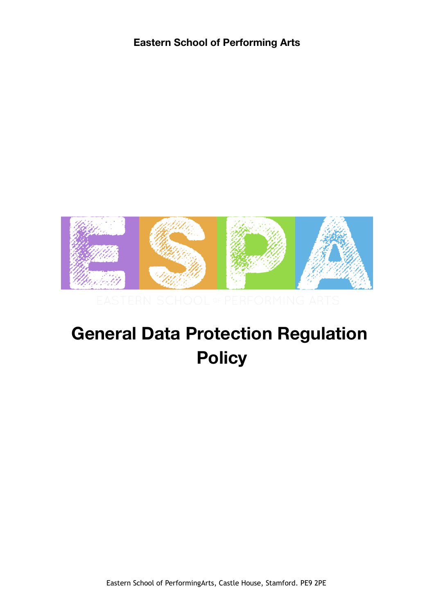

# **General Data Protection Regulation Policy**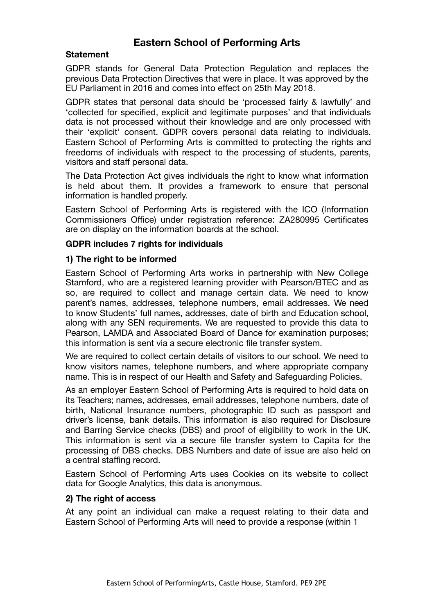#### **Statement**

GDPR stands for General Data Protection Regulation and replaces the previous Data Protection Directives that were in place. It was approved by the EU Parliament in 2016 and comes into effect on 25th May 2018.

GDPR states that personal data should be 'processed fairly & lawfully' and 'collected for specified, explicit and legitimate purposes' and that individuals data is not processed without their knowledge and are only processed with their 'explicit' consent. GDPR covers personal data relating to individuals. Eastern School of Performing Arts is committed to protecting the rights and freedoms of individuals with respect to the processing of students, parents, visitors and staff personal data.

The Data Protection Act gives individuals the right to know what information is held about them. It provides a framework to ensure that personal information is handled properly.

Eastern School of Performing Arts is registered with the ICO (Information Commissioners Office) under registration reference: ZA280995 Certificates are on display on the information boards at the school.

#### **GDPR includes 7 rights for individuals**

#### **1) The right to be informed**

Eastern School of Performing Arts works in partnership with New College Stamford, who are a registered learning provider with Pearson/BTEC and as so, are required to collect and manage certain data. We need to know parent's names, addresses, telephone numbers, email addresses. We need to know Students' full names, addresses, date of birth and Education school, along with any SEN requirements. We are requested to provide this data to Pearson, LAMDA and Associated Board of Dance for examination purposes; this information is sent via a secure electronic file transfer system.

We are required to collect certain details of visitors to our school. We need to know visitors names, telephone numbers, and where appropriate company name. This is in respect of our Health and Safety and Safeguarding Policies.

As an employer Eastern School of Performing Arts is required to hold data on its Teachers; names, addresses, email addresses, telephone numbers, date of birth, National Insurance numbers, photographic ID such as passport and driver's license, bank details. This information is also required for Disclosure and Barring Service checks (DBS) and proof of eligibility to work in the UK. This information is sent via a secure file transfer system to Capita for the processing of DBS checks. DBS Numbers and date of issue are also held on a central staffing record.

Eastern School of Performing Arts uses Cookies on its website to collect data for Google Analytics, this data is anonymous.

#### **2) The right of access**

At any point an individual can make a request relating to their data and Eastern School of Performing Arts will need to provide a response (within 1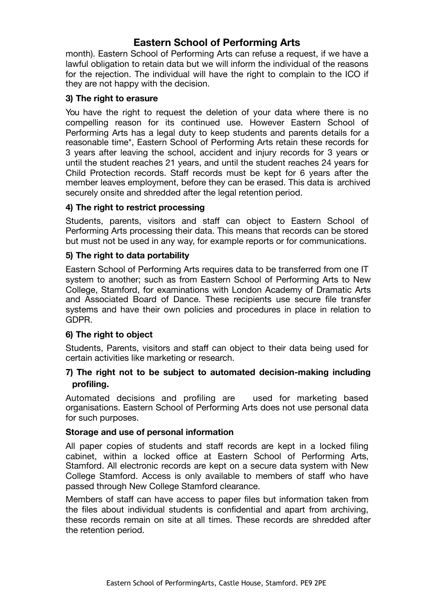month). Eastern School of Performing Arts can refuse a request, if we have a lawful obligation to retain data but we will inform the individual of the reasons for the rejection. The individual will have the right to complain to the ICO if they are not happy with the decision.

#### **3) The right to erasure**

You have the right to request the deletion of your data where there is no compelling reason for its continued use. However Eastern School of Performing Arts has a legal duty to keep students and parents details for a reasonable time\*, Eastern School of Performing Arts retain these records for 3 years after leaving the school, accident and injury records for 3 years or until the student reaches 21 years, and until the student reaches 24 years for Child Protection records. Staff records must be kept for 6 years after the member leaves employment, before they can be erased. This data is archived securely onsite and shredded after the legal retention period.

#### **4) The right to restrict processing**

Students, parents, visitors and staff can object to Eastern School of Performing Arts processing their data. This means that records can be stored but must not be used in any way, for example reports or for communications.

#### **5) The right to data portability**

Eastern School of Performing Arts requires data to be transferred from one IT system to another; such as from Eastern School of Performing Arts to New College, Stamford, for examinations with London Academy of Dramatic Arts and Associated Board of Dance. These recipients use secure file transfer systems and have their own policies and procedures in place in relation to GDPR.

#### **6) The right to object**

Students, Parents, visitors and staff can object to their data being used for certain activities like marketing or research.

#### **7) The right not to be subject to automated decision-making including profiling.**

Automated decisions and profiling are used for marketing based organisations. Eastern School of Performing Arts does not use personal data for such purposes.

#### **Storage and use of personal information**

All paper copies of students and staff records are kept in a locked filing cabinet, within a locked office at Eastern School of Performing Arts, Stamford. All electronic records are kept on a secure data system with New College Stamford. Access is only available to members of staff who have passed through New College Stamford clearance.

Members of staff can have access to paper files but information taken from the files about individual students is confidential and apart from archiving, these records remain on site at all times. These records are shredded after the retention period.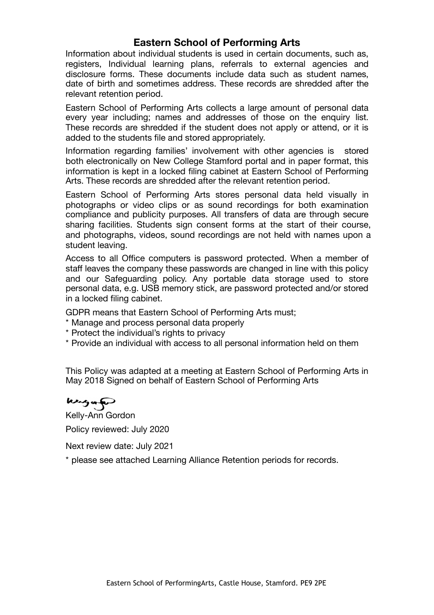Information about individual students is used in certain documents, such as, registers, Individual learning plans, referrals to external agencies and disclosure forms. These documents include data such as student names, date of birth and sometimes address. These records are shredded after the relevant retention period.

Eastern School of Performing Arts collects a large amount of personal data every year including; names and addresses of those on the enquiry list. These records are shredded if the student does not apply or attend, or it is added to the students file and stored appropriately.

Information regarding families' involvement with other agencies is stored both electronically on New College Stamford portal and in paper format, this information is kept in a locked filing cabinet at Eastern School of Performing Arts. These records are shredded after the relevant retention period.

Eastern School of Performing Arts stores personal data held visually in photographs or video clips or as sound recordings for both examination compliance and publicity purposes. All transfers of data are through secure sharing facilities. Students sign consent forms at the start of their course, and photographs, videos, sound recordings are not held with names upon a student leaving.

Access to all Office computers is password protected. When a member of staff leaves the company these passwords are changed in line with this policy and our Safeguarding policy. Any portable data storage used to store personal data, e.g. USB memory stick, are password protected and/or stored in a locked filing cabinet.

GDPR means that Eastern School of Performing Arts must;

- \* Manage and process personal data properly
- \* Protect the individual's rights to privacy
- \* Provide an individual with access to all personal information held on them

This Policy was adapted at a meeting at Eastern School of Performing Arts in May 2018 Signed on behalf of Eastern School of Performing Arts

kingan

Kelly-Ann Gordon Policy reviewed: July 2020

Next review date: July 2021

\* please see attached Learning Alliance Retention periods for records.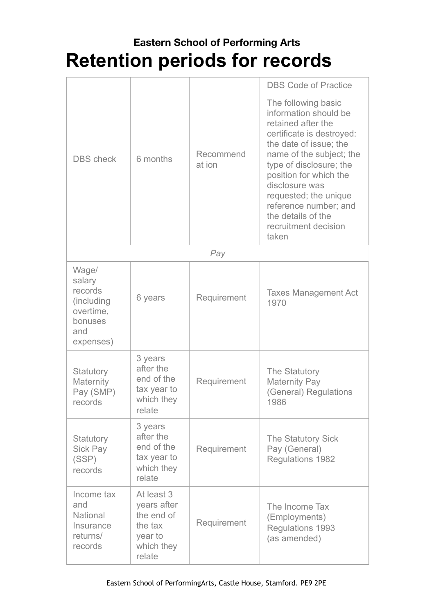# **Eastern School of Performing Arts Retention periods for records**

|                                                                                      |                                                                                       |                     | <b>DBS Code of Practice</b>                                                                                                                                                                                                                                                                                                           |
|--------------------------------------------------------------------------------------|---------------------------------------------------------------------------------------|---------------------|---------------------------------------------------------------------------------------------------------------------------------------------------------------------------------------------------------------------------------------------------------------------------------------------------------------------------------------|
| <b>DBS</b> check                                                                     | 6 months                                                                              | Recommend<br>at ion | The following basic<br>information should be<br>retained after the<br>certificate is destroyed:<br>the date of issue; the<br>name of the subject; the<br>type of disclosure; the<br>position for which the<br>disclosure was<br>requested; the unique<br>reference number; and<br>the details of the<br>recruitment decision<br>taken |
|                                                                                      |                                                                                       | Pay                 |                                                                                                                                                                                                                                                                                                                                       |
| Wage/<br>salary<br>records<br>(including<br>overtime,<br>bonuses<br>and<br>expenses) | 6 years                                                                               | Requirement         | <b>Taxes Management Act</b><br>1970                                                                                                                                                                                                                                                                                                   |
| Statutory<br>Maternity<br>Pay (SMP)<br>records                                       | 3 years<br>after the<br>end of the<br>tax year to<br>which they<br>relate             | Requirement         | The Statutory<br><b>Maternity Pay</b><br>(General) Regulations<br>1986                                                                                                                                                                                                                                                                |
| Statutory<br><b>Sick Pay</b><br>(SSP)<br>records                                     | 3 years<br>after the<br>end of the<br>tax year to<br>which they<br>relate             | Requirement         | The Statutory Sick<br>Pay (General)<br><b>Regulations 1982</b>                                                                                                                                                                                                                                                                        |
| Income tax<br>and<br><b>National</b><br>Insurance<br>returns/<br>records             | At least 3<br>years after<br>the end of<br>the tax<br>year to<br>which they<br>relate | Requirement         | The Income Tax<br>(Employments)<br>Regulations 1993<br>(as amended)                                                                                                                                                                                                                                                                   |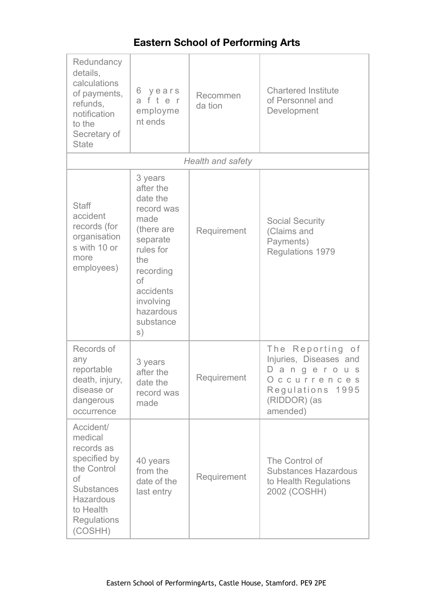| Redundancy<br>details,<br>calculations<br>of payments,<br>refunds,<br>notification<br>to the<br>Secretary of<br><b>State</b>                            | years<br>6<br>after<br>employme<br>nt ends                                                                                                                                        | Recommen<br>da tion      | <b>Chartered Institute</b><br>of Personnel and<br>Development                                                              |
|---------------------------------------------------------------------------------------------------------------------------------------------------------|-----------------------------------------------------------------------------------------------------------------------------------------------------------------------------------|--------------------------|----------------------------------------------------------------------------------------------------------------------------|
|                                                                                                                                                         |                                                                                                                                                                                   | <b>Health and safety</b> |                                                                                                                            |
| <b>Staff</b><br>accident<br>records (for<br>organisation<br>s with 10 or<br>more<br>employees)                                                          | 3 years<br>after the<br>date the<br>record was<br>made<br>(there are<br>separate<br>rules for<br>the<br>recording<br>of<br>accidents<br>involving<br>hazardous<br>substance<br>S) | Requirement              | <b>Social Security</b><br>(Claims and<br>Payments)<br>Regulations 1979                                                     |
| Records of<br>any<br>reportable<br>death, injury,<br>disease or<br>dangerous<br>occurrence                                                              | 3 years<br>after the<br>date the<br>record was<br>made                                                                                                                            | Requirement              | The Reporting of<br>Injuries, Diseases and<br>Dangerous<br>O<br>ccurrences<br>Regulations 1995<br>(RIDDOR) (as<br>amended) |
| Accident/<br>medical<br>records as<br>specified by<br>the Control<br>of<br><b>Substances</b><br>Hazardous<br>to Health<br><b>Regulations</b><br>(COSHH) | 40 years<br>from the<br>date of the<br>last entry                                                                                                                                 | Requirement              | The Control of<br><b>Substances Hazardous</b><br>to Health Regulations<br>2002 (COSHH)                                     |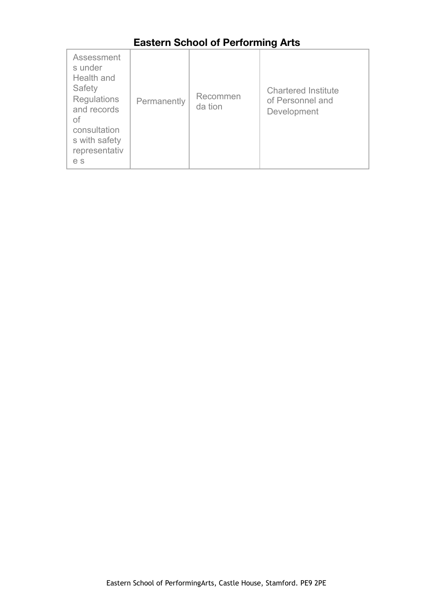| Assessment<br>s under<br>Health and<br>Safety<br><b>Regulations</b><br>Permanently<br>and records<br>Οf<br>consultation<br>s with safety<br>representativ<br>e s | Recommen<br>da tion | <b>Chartered Institute</b><br>of Personnel and<br>Development |
|------------------------------------------------------------------------------------------------------------------------------------------------------------------|---------------------|---------------------------------------------------------------|
|------------------------------------------------------------------------------------------------------------------------------------------------------------------|---------------------|---------------------------------------------------------------|